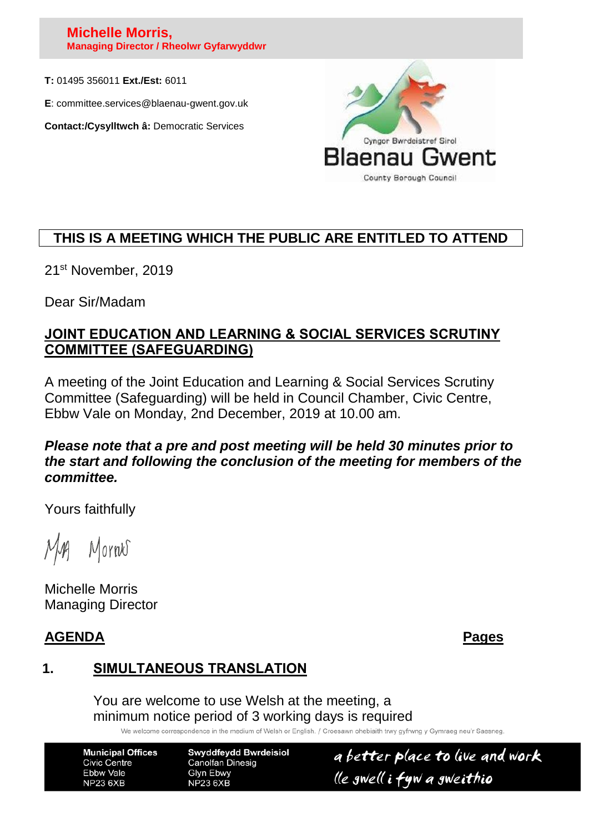#### **Michelle Morris, Managing Director / Rheolwr Gyfarwyddwr**

**T:** 01495 356011 **Ext./Est:** 6011

**E**: committee.services@blaenau-gwent.gov.uk

**Contact:/Cysylltwch â:** Democratic Services



## **THIS IS A MEETING WHICH THE PUBLIC ARE ENTITLED TO ATTEND**

21st November, 2019

Dear Sir/Madam

#### **JOINT EDUCATION AND LEARNING & SOCIAL SERVICES SCRUTINY COMMITTEE (SAFEGUARDING)**

A meeting of the Joint Education and Learning & Social Services Scrutiny Committee (Safeguarding) will be held in Council Chamber, Civic Centre, Ebbw Vale on Monday, 2nd December, 2019 at 10.00 am.

#### *Please note that a pre and post meeting will be held 30 minutes prior to the start and following the conclusion of the meeting for members of the committee.*

Yours faithfully

Mornes

Michelle Morris Managing Director

### **AGENDA Pages**

# **1. SIMULTANEOUS TRANSLATION**

You are welcome to use Welsh at the meeting, a minimum notice period of 3 working days is required

We welcome correspondence in the medium of Welsh or English. / Croesawn ohebiaith trwy gyfrwng y Gymraeg neu'r Saesneg

**Municipal Offices Civic Centre** Ebbw Vale **NP23 6XB** 

**Swyddfeydd Bwrdeisiol Canolfan Dinesig** Glyn Ebwy **NP23 6XB** 

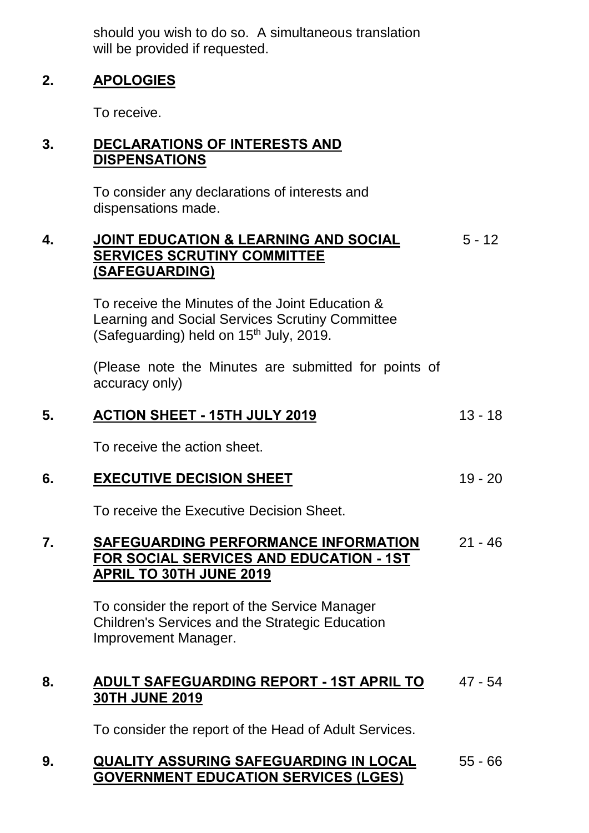should you wish to do so. A simultaneous translation will be provided if requested.

#### **2. APOLOGIES**

To receive.

#### **3. DECLARATIONS OF INTERESTS AND DISPENSATIONS**

To consider any declarations of interests and dispensations made.

#### **4. JOINT EDUCATION & LEARNING AND SOCIAL SERVICES SCRUTINY COMMITTEE (SAFEGUARDING)** 5 - 12

To receive the Minutes of the Joint Education & Learning and Social Services Scrutiny Committee (Safeguarding) held on  $15<sup>th</sup>$  July, 2019.

(Please note the Minutes are submitted for points of accuracy only)

# **5. ACTION SHEET - 15TH JULY 2019** 13 - 18

To receive the action sheet.

### **6. EXECUTIVE DECISION SHEET** 19 - 20

To receive the Executive Decision Sheet.

#### **7. SAFEGUARDING PERFORMANCE INFORMATION FOR SOCIAL SERVICES AND EDUCATION - 1ST APRIL TO 30TH JUNE 2019** 21 - 46

To consider the report of the Service Manager Children's Services and the Strategic Education Improvement Manager.

#### **8. ADULT SAFEGUARDING REPORT - 1ST APRIL TO 30TH JUNE 2019** 47 - 54

To consider the report of the Head of Adult Services.

#### **9. QUALITY ASSURING SAFEGUARDING IN LOCAL GOVERNMENT EDUCATION SERVICES (LGES)** 55 - 66